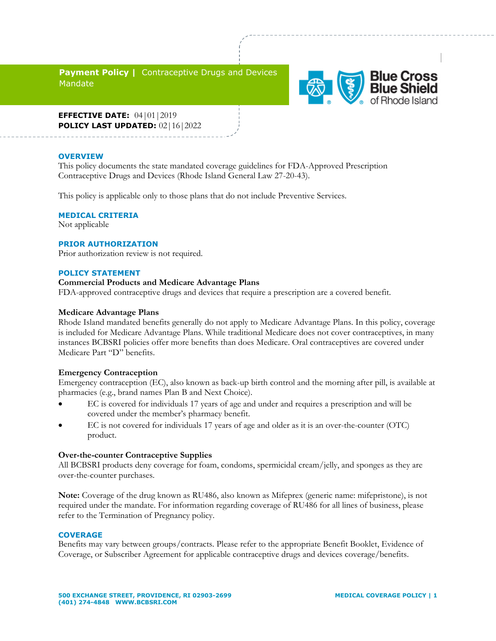**Payment Policy | Contraceptive Drugs and Devices** Mandate



**EFFECTIVE DATE:** 04|01|2019 **POLICY LAST UPDATED:** 02|16|2022

#### **OVERVIEW**

sa

This policy documents the state mandated coverage guidelines for FDA-Approved Prescription Contraceptive Drugs and Devices (Rhode Island General Law 27-20-43).

This policy is applicable only to those plans that do not include Preventive Services.

### **MEDICAL CRITERIA**

Not applicable

#### **PRIOR AUTHORIZATION**

Prior authorization review is not required.

#### **POLICY STATEMENT**

## **Commercial Products and Medicare Advantage Plans**

FDA-approved contraceptive drugs and devices that require a prescription are a covered benefit.

#### **Medicare Advantage Plans**

Rhode Island mandated benefits generally do not apply to Medicare Advantage Plans. In this policy, coverage is included for Medicare Advantage Plans. While traditional Medicare does not cover contraceptives, in many instances BCBSRI policies offer more benefits than does Medicare. Oral contraceptives are covered under Medicare Part "D" benefits.

#### **Emergency Contraception**

Emergency contraception (EC), also known as back-up birth control and the morning after pill, is available at pharmacies (e.g., brand names Plan B and Next Choice).

- EC is covered for individuals 17 years of age and under and requires a prescription and will be covered under the member's pharmacy benefit.
- EC is not covered for individuals 17 years of age and older as it is an over-the-counter (OTC) product.

#### **Over-the-counter Contraceptive Supplies**

All BCBSRI products deny coverage for foam, condoms, spermicidal cream/jelly, and sponges as they are over-the-counter purchases.

**Note:** Coverage of the drug known as RU486, also known as Mifeprex (generic name: mifepristone), is not required under the mandate. For information regarding coverage of RU486 for all lines of business, please refer to the Termination of Pregnancy policy.

#### **COVERAGE**

Benefits may vary between groups/contracts. Please refer to the appropriate Benefit Booklet, Evidence of Coverage, or Subscriber Agreement for applicable contraceptive drugs and devices coverage/benefits.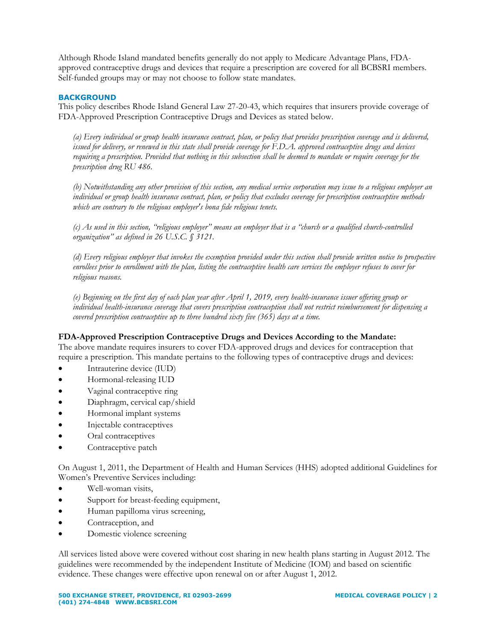Although Rhode Island mandated benefits generally do not apply to Medicare Advantage Plans, FDAapproved contraceptive drugs and devices that require a prescription are covered for all BCBSRI members. Self-funded groups may or may not choose to follow state mandates.

# **BACKGROUND**

This policy describes Rhode Island General Law 27-20-43, which requires that insurers provide coverage of FDA-Approved Prescription Contraceptive Drugs and Devices as stated below.

*(a) Every individual or group health insurance contract, plan, or policy that provides prescription coverage and is delivered, issued for delivery, or renewed in this state shall provide coverage for F.D.A. approved contraceptive drugs and devices requiring a prescription. Provided that nothing in this subsection shall be deemed to mandate or require coverage for the prescription drug RU 486.* 

*(b) Notwithstanding any other provision of this section, any medical service corporation may issue to a religious employer an individual or group health insurance contract, plan, or policy that excludes coverage for prescription contraceptive methods which are contrary to the religious employer's bona fide religious tenets.* 

*(c) As used in this section, "religious employer" means an employer that is a "church or a qualified church-controlled organization" as defined in 26 U.S.C. § 3121.* 

*(d) Every religious employer that invokes the exemption provided under this section shall provide written notice to prospective enrollees prior to enrollment with the plan, listing the contraceptive health care services the employer refuses to cover for religious reasons.*

*(e) Beginning on the first day of each plan year after April 1, 2019, every health-insurance issuer offering group or individual health-insurance coverage that covers prescription contraception shall not restrict reimbursement for dispensing a covered prescription contraceptive up to three hundred sixty five (365) days at a time.*

### **FDA-Approved Prescription Contraceptive Drugs and Devices According to the Mandate:**

The above mandate requires insurers to cover FDA-approved drugs and devices for contraception that require a prescription. This mandate pertains to the following types of contraceptive drugs and devices:

- Intrauterine device (IUD)
- Hormonal-releasing IUD
- Vaginal contraceptive ring
- Diaphragm, cervical cap/shield
- Hormonal implant systems
- Injectable contraceptives
- Oral contraceptives
- Contraceptive patch

On August 1, 2011, the Department of Health and Human Services (HHS) adopted additional Guidelines for Women's Preventive Services including:

- Well-woman visits,
- Support for breast-feeding equipment,
- Human papilloma virus screening,
- Contraception, and
- Domestic violence screening

All services listed above were covered without cost sharing in new health plans starting in August 2012. The guidelines were recommended by the independent Institute of Medicine (IOM) and based on scientific evidence. These changes were effective upon renewal on or after August 1, 2012.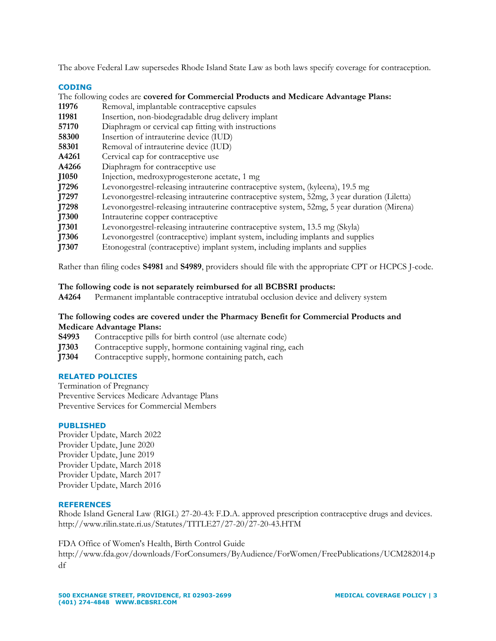The above Federal Law supersedes Rhode Island State Law as both laws specify coverage for contraception.

### **CODING**

The following codes are **covered for Commercial Products and Medicare Advantage Plans:** 

- **11976** Removal, implantable contraceptive capsules
- **11981** Insertion, non-biodegradable drug delivery implant
- **57170** Diaphragm or cervical cap fitting with instructions
- **58300** Insertion of intrauterine device (IUD)
- **58301** Removal of intrauterine device (IUD)
- **A4261** Cervical cap for contraceptive use
- **A4266** Diaphragm for contraceptive use
- **J1050** Injection, medroxyprogesterone acetate, 1 mg
- **J7296** Levonorgestrel-releasing intrauterine contraceptive system, (kyleena), 19.5 mg
- **J7297** Levonorgestrel-releasing intrauterine contraceptive system, 52mg, 3 year duration (Liletta)
- **J7298** Levonorgestrel-releasing intrauterine contraceptive system, 52mg, 5 year duration (Mirena)
- **J7300** Intrauterine copper contraceptive
- **J7301** Levonorgestrel-releasing intrauterine contraceptive system, 13.5 mg (Skyla)
- **J7306** Levonorgestrel (contraceptive) implant system, including implants and supplies
- **J7307** Etonogestral (contraceptive) implant system, including implants and supplies

Rather than filing codes **S4981** and **S4989**, providers should file with the appropriate CPT or HCPCS J-code.

# **The following code is not separately reimbursed for all BCBSRI products:**

**A4264** Permanent implantable contraceptive intratubal occlusion device and delivery system

# **The following codes are covered under the Pharmacy Benefit for Commercial Products and Medicare Advantage Plans:**

- **S4993** Contraceptive pills for birth control (use alternate code)
- **J7303** Contraceptive supply, hormone containing vaginal ring, each
- **J7304** Contraceptive supply, hormone containing patch, each

### **RELATED POLICIES**

Termination of Pregnancy Preventive Services Medicare Advantage Plans Preventive Services for Commercial Members

### **PUBLISHED**

Provider Update, March 2022 Provider Update, June 2020 Provider Update, June 2019 Provider Update, March 2018 Provider Update, March 2017 Provider Update, March 2016

### **REFERENCES**

Rhode Island General Law (RIGL) 27-20-43: F.D.A. approved prescription contraceptive drugs and devices. http://www.rilin.state.ri.us/Statutes/TITLE27/27-20/27-20-43.HTM

FDA Office of Women's Health, Birth Control Guide

http://www.fda.gov/downloads/ForConsumers/ByAudience/ForWomen/FreePublications/UCM282014.p df